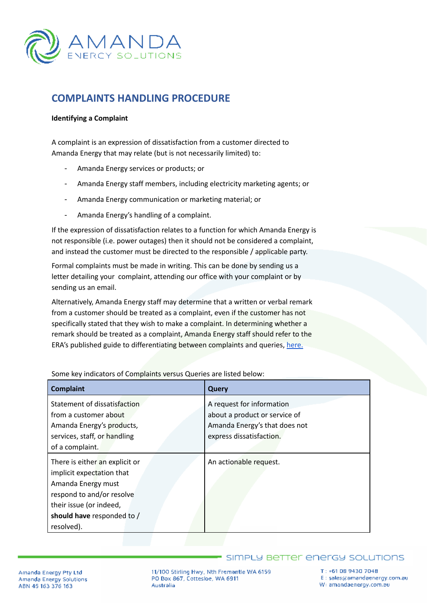

# **COMPLAINTS HANDLING PROCEDURE**

### **Identifying a Complaint**

A complaint is an expression of dissatisfaction from a customer directed to Amanda Energy that may relate (but is not necessarily limited) to:

- Amanda Energy services or products; or
- Amanda Energy staff members, including electricity marketing agents; or
- Amanda Energy communication or marketing material; or
- Amanda Energy's handling of a complaint.

If the expression of dissatisfaction relates to a function for which Amanda Energy is not responsible (i.e. power outages) then it should not be considered a complaint, and instead the customer must be directed to the responsible / applicable party.

Formal complaints must be made in writing. This can be done by sending us a letter detailing your complaint, attending our office with your complaint or by sending us an email.

Alternatively, Amanda Energy staff may determine that a written or verbal remark from a customer should be treated as a complaint, even if the customer has not specifically stated that they wish to make a complaint. In determining whether a remark should be treated as a complaint, Amanda Energy staff should refer to the ERA's published guide to differentiating between complaints and queries, [here.](https://www.erawa.com.au/cproot/14696/2/Customer%20Complaint%20Guidelines%20-%20December%202016.PDF)

| <b>Complaint</b>                                                                                                                                                                      | Query                         |
|---------------------------------------------------------------------------------------------------------------------------------------------------------------------------------------|-------------------------------|
| Statement of dissatisfaction                                                                                                                                                          | A request for information     |
| from a customer about                                                                                                                                                                 | about a product or service of |
| Amanda Energy's products,                                                                                                                                                             | Amanda Energy's that does not |
| services, staff, or handling                                                                                                                                                          | express dissatisfaction.      |
| of a complaint.                                                                                                                                                                       |                               |
| There is either an explicit or<br>implicit expectation that<br>Amanda Energy must<br>respond to and/or resolve<br>their issue (or indeed,<br>should have responded to /<br>resolved). | An actionable request.        |

Some key indicators of Complaints versus Queries are listed below:

11/100 Stirling Hwy, Nth Fremantle WA 6159 PO Box 867, Cottesloe, WA 6911 Australia

SIMPLY BeTTer energy SOLUTIONS T: +61 DB 9430 7048

E : sales@amandaenergy.com.au W: amandaenergy.com.bu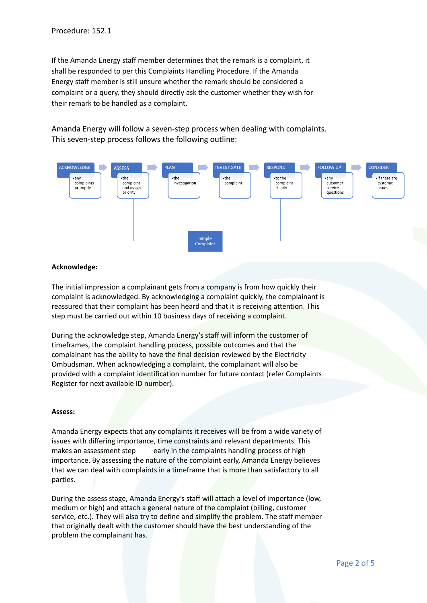If the Amanda Energy staff member determines that the remark is a complaint, it shall be responded to per this Complaints Handling Procedure. If the Amanda Energy staff member is still unsure whether the remark should be considered a complaint or a query, they should directly ask the customer whether they wish for their remark to be handled as a complaint.

Amanda Energy will follow a seven-step process when dealing with complaints. This seven-step process follows the following outline:



#### **Acknowledge:**

The initial impression a complainant gets from a company is from how quickly their complaint is acknowledged. By acknowledging a complaint quickly, the complainant is reassured that their complaint has been heard and that it is receiving attention. This step must be carried out within 10 business days of receiving a complaint.

During the acknowledge step, Amanda Energy's staff will inform the customer of timeframes, the complaint handling process, possible outcomes and that the complainant has the ability to have the final decision reviewed by the Electricity Ombudsman. When acknowledging a complaint, the complainant will also be provided with a complaint identification number for future contact (refer Complaints Register for next available ID number).

#### **Assess:**

Amanda Energy expects that any complaints it receives will be from a wide variety of issues with differing importance, time constraints and relevant departments. This makes an assessment step early in the complaints handling process of high importance. By assessing the nature of the complaint early, Amanda Energy believes that we can deal with complaints in a timeframe that is more than satisfactory to all parties.

During the assess stage, Amanda Energy's staff will attach a level of importance (low, medium or high) and attach a general nature of the complaint (billing, customer service, etc.). They will also try to define and simplify the problem. The staff member that originally dealt with the customer should have the best understanding of the problem the complainant has.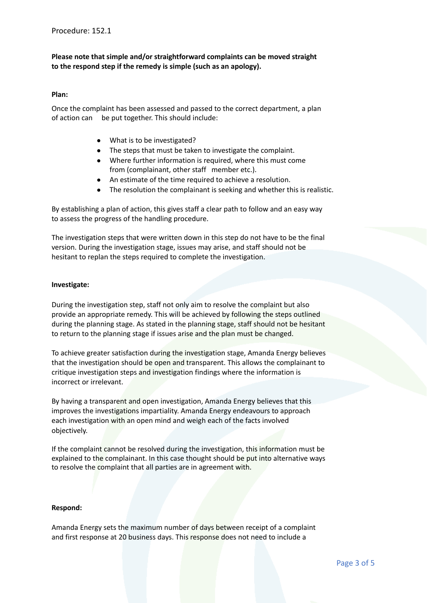## **Please note that simple and/or straightforward complaints can be moved straight to the respond step if the remedy is simple (such as an apology).**

#### **Plan:**

Once the complaint has been assessed and passed to the correct department, a plan of action can be put together. This should include:

- What is to be investigated?
- The steps that must be taken to investigate the complaint.
- Where further information is required, where this must come from (complainant, other staff member etc.).
- An estimate of the time required to achieve a resolution.
- The resolution the complainant is seeking and whether this is realistic.

By establishing a plan of action, this gives staff a clear path to follow and an easy way to assess the progress of the handling procedure.

The investigation steps that were written down in this step do not have to be the final version. During the investigation stage, issues may arise, and staff should not be hesitant to replan the steps required to complete the investigation.

#### **Investigate:**

During the investigation step, staff not only aim to resolve the complaint but also provide an appropriate remedy. This will be achieved by following the steps outlined during the planning stage. As stated in the planning stage, staff should not be hesitant to return to the planning stage if issues arise and the plan must be changed.

To achieve greater satisfaction during the investigation stage, Amanda Energy believes that the investigation should be open and transparent. This allows the complainant to critique investigation steps and investigation findings where the information is incorrect or irrelevant.

By having a transparent and open investigation, Amanda Energy believes that this improves the investigations impartiality. Amanda Energy endeavours to approach each investigation with an open mind and weigh each of the facts involved objectively.

If the complaint cannot be resolved during the investigation, this information must be explained to the complainant. In this case thought should be put into alternative ways to resolve the complaint that all parties are in agreement with.

#### **Respond:**

Amanda Energy sets the maximum number of days between receipt of a complaint and first response at 20 business days. This response does not need to include a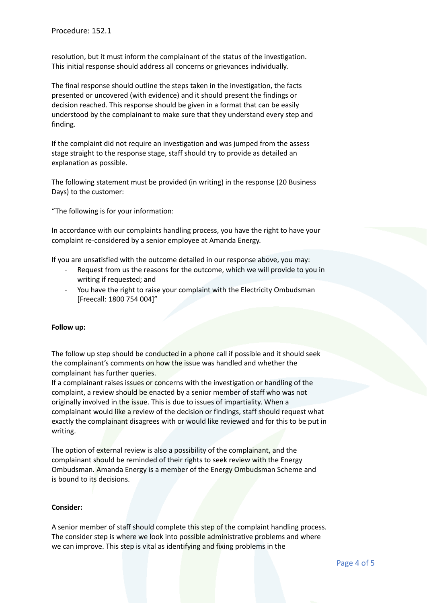resolution, but it must inform the complainant of the status of the investigation. This initial response should address all concerns or grievances individually.

The final response should outline the steps taken in the investigation, the facts presented or uncovered (with evidence) and it should present the findings or decision reached. This response should be given in a format that can be easily understood by the complainant to make sure that they understand every step and finding.

If the complaint did not require an investigation and was jumped from the assess stage straight to the response stage, staff should try to provide as detailed an explanation as possible.

The following statement must be provided (in writing) in the response (20 Business Days) to the customer:

"The following is for your information:

In accordance with our complaints handling process, you have the right to have your complaint re-considered by a senior employee at Amanda Energy.

If you are unsatisfied with the outcome detailed in our response above, you may:

- Request from us the reasons for the outcome, which we will provide to you in writing if requested; and
- You have the right to raise your complaint with the Electricity Ombudsman [Freecall: 1800 754 004]"

#### **Follow up:**

The follow up step should be conducted in a phone call if possible and it should seek the complainant's comments on how the issue was handled and whether the complainant has further queries.

If a complainant raises issues or concerns with the investigation or handling of the complaint, a review should be enacted by a senior member of staff who was not originally involved in the issue. This is due to issues of impartiality. When a complainant would like a review of the decision or findings, staff should request what exactly the complainant disagrees with or would like reviewed and for this to be put in writing.

The option of external review is also a possibility of the complainant, and the complainant should be reminded of their rights to seek review with the Energy Ombudsman. Amanda Energy is a member of the Energy Ombudsman Scheme and is bound to its decisions.

#### **Consider:**

A senior member of staff should complete this step of the complaint handling process. The consider step is where we look into possible administrative problems and where we can improve. This step is vital as identifying and fixing problems in the